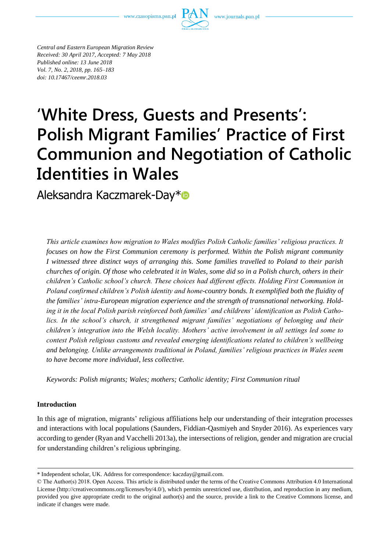

*Central and Eastern European Migration Review Received: 30 April 2017, Accepted: 7 May 2018 Published online: 13 June 2018 Vol. 7, No. 2, 2018, pp. 165–183 doi: 10.17467/ceemr.2018.03*

# **'White Dress, Guests and Presents': Polish Migrant Families' Practice of First Communion and Negotiation of Catholic Identities in Wales**

Aleksandra Kaczmarek-Day[\\*](https://orcid.org/0000-0002-5018-1781?lang=en)

*This article examines how migration to Wales modifies Polish Catholic families' religious practices. It focuses on how the First Communion ceremony is performed. Within the Polish migrant community I witnessed three distinct ways of arranging this. Some families travelled to Poland to their parish churches of origin. Of those who celebrated it in Wales, some did so in a Polish church, others in their children's Catholic school's church. These choices had different effects. Holding First Communion in Poland confirmed children's Polish identity and home-country bonds. It exemplified both the fluidity of the families' intra-European migration experience and the strength of transnational networking. Holding it in the local Polish parish reinforced both families' and childrens' identification as Polish Catholics. In the school's church, it strengthened migrant families' negotiations of belonging and their children's integration into the Welsh locality. Mothers' active involvement in all settings led some to contest Polish religious customs and revealed emerging identifications related to children's wellbeing and belonging. Unlike arrangements traditional in Poland, families' religious practices in Wales seem to have become more individual, less collective.*

*Keywords: Polish migrants; Wales; mothers; Catholic identity; First Communion ritual* 

# **Introduction**

In this age of migration, migrants' religious affiliations help our understanding of their integration processes and interactions with local populations (Saunders, Fiddian-Qasmiyeh and Snyder 2016). As experiences vary according to gender (Ryan and Vacchelli 2013a), the intersections of religion, gender and migration are crucial for understanding children's religious upbringing.

<sup>\*</sup> Independent scholar, UK. Address for correspondence: kaczday@gmail.com.

<sup>©</sup> The Author(s) 2018. Open Access. This article is distributed under the terms of the Creative Commons Attribution 4.0 International License [\(http://creativecommons.org/licenses/by/4.0/\)](http://creativecommons.org/licenses/by/4.0/), which permits unrestricted use, distribution, and reproduction in any medium, provided you give appropriate credit to the original author(s) and the source, provide a link to the Creative Commons license, and indicate if changes were made.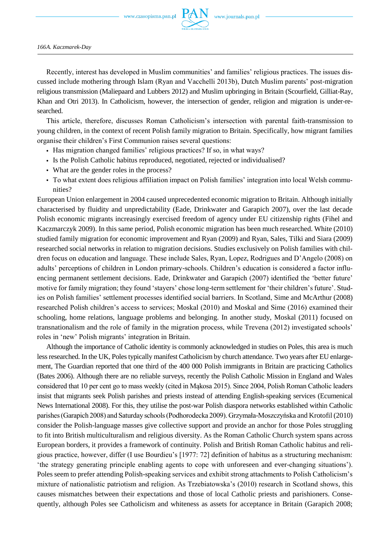

Recently, interest has developed in Muslim communities' and families' religious practices. The issues discussed include mothering through Islam (Ryan and Vacchelli 2013b), Dutch Muslim parents' post-migration religious transmission (Maliepaard and Lubbers 2012) and Muslim upbringing in Britain (Scourfield, Gilliat-Ray, Khan and Otri 2013). In Catholicism, however, the intersection of gender, religion and migration is under-researched.

This article, therefore, discusses Roman Catholicism's intersection with parental faith-transmission to young children, in the context of recent Polish family migration to Britain. Specifically, how migrant families organise their children's First Communion raises several questions:

- Has migration changed families' religious practices? If so, in what ways?
- Is the Polish Catholic habitus reproduced, negotiated, rejected or individualised?
- What are the gender roles in the process?
- To what extent does religious affiliation impact on Polish families' integration into local Welsh communities?

European Union enlargement in 2004 caused unprecedented economic migration to Britain. Although initially characterised by fluidity and unpredictability (Eade, Drinkwater and Garapich 2007), over the last decade Polish economic migrants increasingly exercised freedom of agency under EU citizenship rights (Fihel and Kaczmarczyk 2009). In this same period, Polish economic migration has been much researched. White (2010) studied family migration for economic improvement and Ryan (2009) and Ryan, Sales, Tilki and Siara (2009) researched social networks in relation to migration decisions. Studies exclusively on Polish families with children focus on education and language. These include Sales, Ryan, Lopez, Rodrigues and D'Angelo (2008) on adults' perceptions of children in London primary-schools. Children's education is considered a factor influencing permanent settlement decisions. Eade, Drinkwater and Garapich (2007) identified the 'better future' motive for family migration; they found 'stayers' chose long-term settlement for 'their children's future'. Studies on Polish families' settlement processes identified social barriers. In Scotland, Sime and McArthur (2008) researched Polish children's access to services; Moskal (2010) and Moskal and Sime (2016) examined their schooling, home relations, language problems and belonging. In another study, Moskal (2011) focused on transnationalism and the role of family in the migration process, while Trevena (2012) investigated schools' roles in 'new' Polish migrants' integration in Britain.

Although the importance of Catholic identity is commonly acknowledged in studies on Poles, this area is much less researched. In the UK, Poles typically manifest Catholicism by church attendance. Two years after EU enlargement, The Guardian reported that one third of the 400 000 Polish immigrants in Britain are practicing Catholics (Bates 2006). Although there are no reliable surveys, recently the Polish Catholic Mission in England and Wales considered that 10 per cent go to mass weekly (cited in Mąkosa 2015). Since 2004, Polish Roman Catholic leaders insist that migrants seek Polish parishes and priests instead of attending English-speaking services (Ecumenical News International 2008). For this, they utilise the post-war Polish diaspora networks established within Catholic parishes (Garapich 2008) and Saturday schools (Podhorodecka 2009). Grzymała-Moszczyńska and Krotofil (2010) consider the Polish-language masses give collective support and provide an anchor for those Poles struggling to fit into British multiculturalism and religious diversity. As the Roman Catholic Church system spans across European borders, it provides a framework of continuity. Polish and British Roman Catholic habitus and religious practice, however, differ (I use Bourdieu's [1977: 72] definition of habitus as a structuring mechanism: 'the strategy generating principle enabling agents to cope with unforeseen and ever-changing situations'). Poles seem to prefer attending Polish-speaking services and exhibit strong attachments to Polish Catholicism's mixture of nationalistic patriotism and religion. As Trzebiatowska's (2010) research in Scotland shows, this causes mismatches between their expectations and those of local Catholic priests and parishioners. Consequently, although Poles see Catholicism and whiteness as assets for acceptance in Britain (Garapich 2008;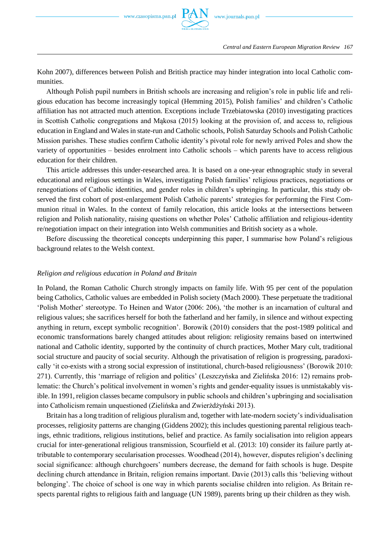Kohn 2007), differences between Polish and British practice may hinder integration into local Catholic communities.

Although Polish pupil numbers in British schools are increasing and religion's role in public life and religious education has become increasingly topical (Hemming 2015), Polish families' and children's Catholic affiliation has not attracted much attention. Exceptions include Trzebiatowska (2010) investigating practices in Scottish Catholic congregations and Mąkosa (2015) looking at the provision of, and access to, religious education in England and Wales in state-run and Catholic schools, Polish Saturday Schools and Polish Catholic Mission parishes. These studies confirm Catholic identity's pivotal role for newly arrived Poles and show the variety of opportunities – besides enrolment into Catholic schools – which parents have to access religious education for their children.

This article addresses this under-researched area. It is based on a one-year ethnographic study in several educational and religious settings in Wales, investigating Polish families' religious practices, negotiations or renegotiations of Catholic identities, and gender roles in children's upbringing. In particular, this study observed the first cohort of post-enlargement Polish Catholic parents' strategies for performing the First Communion ritual in Wales. In the context of family relocation, this article looks at the intersections between religion and Polish nationality, raising questions on whether Poles' Catholic affiliation and religious-identity re/negotiation impact on their integration into Welsh communities and British society as a whole.

Before discussing the theoretical concepts underpinning this paper, I summarise how Poland's religious background relates to the Welsh context.

#### *Religion and religious education in Poland and Britain*

In Poland, the Roman Catholic Church strongly impacts on family life. With 95 per cent of the population being Catholics, Catholic values are embedded in Polish society (Mach 2000). These perpetuate the traditional 'Polish Mother' stereotype. To Heinen and Wator (2006: 206), 'the mother is an incarnation of cultural and religious values; she sacrifices herself for both the fatherland and her family, in silence and without expecting anything in return, except symbolic recognition'. Borowik (2010) considers that the post-1989 political and economic transformations barely changed attitudes about religion: religiosity remains based on intertwined national and Catholic identity, supported by the continuity of church practices, Mother Mary cult, traditional social structure and paucity of social security. Although the privatisation of religion is progressing, paradoxically 'it co-exists with a strong social expression of institutional, church-based religiousness' (Borowik 2010: 271). Currently, this 'marriage of religion and politics' (Leszczyńska and Zielińska 2016: 12) remains problematic: the Church's political involvement in women's rights and gender-equality issues is unmistakably visible. In 1991, religion classes became compulsory in public schools and children's upbringing and socialisation into Catholicism remain unquestioned (Zielińska and Zwierżdżyński 2013).

Britain has a long tradition of religious pluralism and, together with late-modern society's individualisation processes, religiosity patterns are changing (Giddens 2002); this includes questioning parental religious teachings, ethnic traditions, religious institutions, belief and practice. As family socialisation into religion appears crucial for inter-generational religious transmission, Scourfield et al. (2013: 10) consider its failure partly attributable to contemporary secularisation processes. Woodhead (2014), however, disputes religion's declining social significance: although churchgoers' numbers decrease, the demand for faith schools is huge. Despite declining church attendance in Britain, religion remains important. Davie (2013) calls this 'believing without belonging'. The choice of school is one way in which parents socialise children into religion. As Britain respects parental rights to religious faith and language (UN 1989), parents bring up their children as they wish.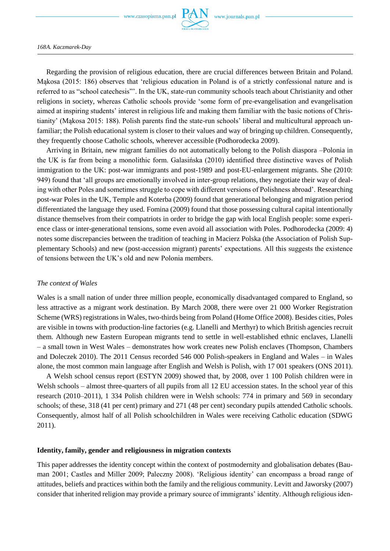

Regarding the provision of religious education, there are crucial differences between Britain and Poland. Mąkosa (2015: 186) observes that 'religious education in Poland is of a strictly confessional nature and is referred to as "school catechesis"'. In the UK, state-run community schools teach about Christianity and other religions in society, whereas Catholic schools provide 'some form of pre-evangelisation and evangelisation aimed at inspiring students' interest in religious life and making them familiar with the basic notions of Christianity' (Mąkosa 2015: 188). Polish parents find the state-run schools' liberal and multicultural approach unfamiliar; the Polish educational system is closer to their values and way of bringing up children. Consequently, they frequently choose Catholic schools, wherever accessible (Podhorodecka 2009).

Arriving in Britain, new migrant families do not automatically belong to the Polish diaspora –Polonia in the UK is far from being a monolithic form. Galasińska (2010) identified three distinctive waves of Polish immigration to the UK: post-war immigrants and post-1989 and post-EU-enlargement migrants. She (2010: 949) found that 'all groups are emotionally involved in inter-group relations, they negotiate their way of dealing with other Poles and sometimes struggle to cope with different versions of Polishness abroad'. Researching post-war Poles in the UK, Temple and Koterba (2009) found that generational belonging and migration period differentiated the language they used. Fomina (2009) found that those possessing cultural capital intentionally distance themselves from their compatriots in order to bridge the gap with local English people: some experience class or inter-generational tensions, some even avoid all association with Poles. Podhorodecka (2009: 4) notes some discrepancies between the tradition of teaching in Macierz Polska (the Association of Polish Supplementary Schools) and new (post-accession migrant) parents' expectations. All this suggests the existence of tensions between the UK's old and new Polonia members.

#### *The context of Wales*

Wales is a small nation of under three million people, economically disadvantaged compared to England, so less attractive as a migrant work destination. By March 2008, there were over 21 000 Worker Registration Scheme (WRS) registrations in Wales, two-thirds being from Poland (Home Office 2008). Besides cities, Poles are visible in towns with production-line factories (e.g. Llanelli and Merthyr) to which British agencies recruit them. Although new Eastern European migrants tend to settle in well-established ethnic enclaves, Llanelli – a small town in West Wales – demonstrates how work creates new Polish enclaves (Thompson, Chambers and Doleczek 2010). The 2011 Census recorded 546 000 Polish-speakers in England and Wales – in Wales alone, the most common main language after English and Welsh is Polish, with 17 001 speakers (ONS 2011).

A Welsh school census report (ESTYN 2009) showed that, by 2008, over 1 100 Polish children were in Welsh schools – almost three-quarters of all pupils from all 12 EU accession states. In the school year of this research (2010–2011), 1 334 Polish children were in Welsh schools: 774 in primary and 569 in secondary schools; of these, 318 (41 per cent) primary and 271 (48 per cent) secondary pupils attended Catholic schools. Consequently, almost half of all Polish schoolchildren in Wales were receiving Catholic education (SDWG 2011).

#### **Identity, family, gender and religiousness in migration contexts**

This paper addresses the identity concept within the context of postmodernity and globalisation debates (Bauman 2001; Castles and Miller 2009; Paleczny 2008). 'Religious identity' can encompass a broad range of attitudes, beliefs and practices within both the family and the religious community. Levitt and Jaworsky (2007) consider that inherited religion may provide a primary source of immigrants' identity. Although religious iden-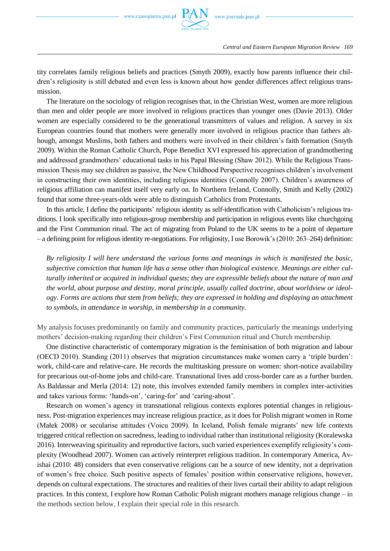

*Central and Eastern European Migration Review 169*

tity correlates family religious beliefs and practices (Smyth 2009), exactly how parents influence their children's religiosity is still debated and even less is known about how gender differences affect religious transmission.

The literature on the sociology of religion recognises that, in the Christian West, women are more religious than men and older people are more involved in religious practices than younger ones (Davie 2013). Older women are especially considered to be the generational transmitters of values and religion. A survey in six European countries found that mothers were generally more involved in religious practice than fathers although, amongst Muslims, both fathers and mothers were involved in their children's faith formation (Smyth 2009). Within the Roman Catholic Church, Pope Benedict XVI expressed his appreciation of grandmothering and addressed grandmothers' educational tasks in his Papal Blessing (Shaw 2012). While the Religious Transmission Thesis may see children as passive, the New Childhood Perspective recognises children's involvement in constructing their own identities, including religious identities (Connolly 2007). Children's awareness of religious affiliation can manifest itself very early on. In Northern Ireland, Connolly, Smith and Kelly (2002) found that some three-years-olds were able to distinguish Catholics from Protestants.

In this article, I define the participants' religious identity as self-identification with Catholicism's religious traditions. I look specifically into religious-group membership and participation in religious events like churchgoing and the First Communion ritual. The act of migrating from Poland to the UK seems to be a point of departure – a defining point for religious identity re-negotiations. For religiosity, I use Borowik's (2010: 263–264) definition:

*By religiosity I will here understand the various forms and meanings in which is manifested the basic, subjective conviction that human life has a sense other than biological existence. Meanings are either culturally inherited or acquired in individual quests; they are expressible beliefs about the nature of man and the world, about purpose and destiny, moral principle, usually called doctrine, about worldview or ideology. Forms are actions that stem from beliefs; they are expressed in holding and displaying an attachment to symbols, in attendance in worship, in membership in a community.*

My analysis focuses predominantly on family and community practices, particularly the meanings underlying mothers' decision-making regarding their children's First Communion ritual and Church membership.

One distinctive characteristic of contemporary migration is the feminisation of both migration and labour (OECD 2010). Standing (2011) observes that migration circumstances make women carry a 'triple burden': work, child-care and relative-care. He records the multitasking pressure on women: short-notice availability for precarious out-of-home jobs and child-care. Transnational lives add cross-border care as a further burden. As Baldassar and Merla (2014: 12) note, this involves extended family members in complex inter-activities and takes various forms: 'hands-on', 'caring-for' and 'caring-about'.

Research on women's agency in transnational religious contexts explores potential changes in religiousness. Post-migration experiences may increase religious practice, as it does for Polish migrant women in Rome (Małek 2008) or secularise attitudes (Voicu 2009). In Iceland, Polish female migrants' new life contexts triggered critical reflection on sacredness, leading to individual rather than institutional religiosity (Koralewska 2016). Interweaving spirituality and reproductive factors, such varied experiences exemplify religiosity's complexity (Woodhead 2007). Women can actively reinterpret religious tradition. In contemporary America, Avishai (2010: 48) considers that even conservative religions can be a source of new identity, not a deprivation of women's free choice. Such positive aspects of females' position within conservative religions, however, depends on cultural expectations. The structures and realities of their lives curtail their ability to adapt religious practices. In this context, I explore how Roman Catholic Polish migrant mothers manage religious change – in the methods section below, I explain their special role in this research.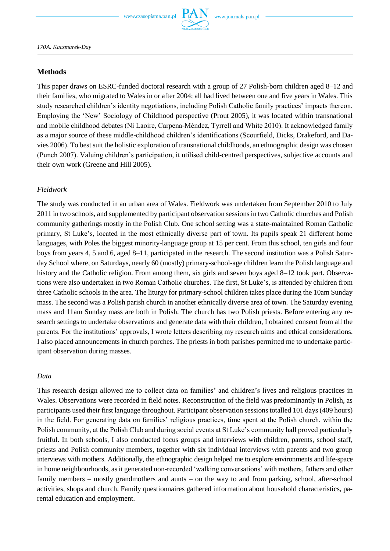

## **Methods**

This paper draws on ESRC-funded doctoral research with a group of 27 Polish-born children aged 8–12 and their families, who migrated to Wales in or after 2004; all had lived between one and five years in Wales. This study researched children's identity negotiations, including Polish Catholic family practices' impacts thereon. Employing the 'New' Sociology of Childhood perspective (Prout 2005), it was located within transnational and mobile childhood debates (Ní Laoire, Carpena-Méndez, Tyrrell and White 2010). It acknowledged family as a major source of these middle-childhood children's identifications (Scourfield, Dicks, Drakeford, and Davies 2006). To best suit the holistic exploration of transnational childhoods, an ethnographic design was chosen (Punch 2007). Valuing children's participation, it utilised child-centred perspectives, subjective accounts and their own work (Greene and Hill 2005).

## *Fieldwork*

The study was conducted in an urban area of Wales. Fieldwork was undertaken from September 2010 to July 2011 in two schools, and supplemented by participant observation sessions in two Catholic churches and Polish community gatherings mostly in the Polish Club. One school setting was a state-maintained Roman Catholic primary, St Luke's, located in the most ethnically diverse part of town. Its pupils speak 21 different home languages, with Poles the biggest minority-language group at 15 per cent. From this school, ten girls and four boys from years 4, 5 and 6, aged 8–11, participated in the research. The second institution was a Polish Saturday School where, on Saturdays, nearly 60 (mostly) primary-school-age children learn the Polish language and history and the Catholic religion. From among them, six girls and seven boys aged 8–12 took part. Observations were also undertaken in two Roman Catholic churches. The first, St Luke's, is attended by children from three Catholic schools in the area. The liturgy for primary-school children takes place during the 10am Sunday mass. The second was a Polish parish church in another ethnically diverse area of town. The Saturday evening mass and 11am Sunday mass are both in Polish. The church has two Polish priests. Before entering any research settings to undertake observations and generate data with their children, I obtained consent from all the parents. For the institutions' approvals, I wrote letters describing my research aims and ethical considerations. I also placed announcements in church porches. The priests in both parishes permitted me to undertake participant observation during masses.

#### *Data*

This research design allowed me to collect data on families' and children's lives and religious practices in Wales. Observations were recorded in field notes. Reconstruction of the field was predominantly in Polish, as participants used their first language throughout. Participant observation sessions totalled 101 days (409 hours) in the field. For generating data on families' religious practices, time spent at the Polish church, within the Polish community, at the Polish Club and during social events at St Luke's community hall proved particularly fruitful. In both schools, I also conducted focus groups and interviews with children, parents, school staff, priests and Polish community members, together with six individual interviews with parents and two group interviews with mothers. Additionally, the ethnographic design helped me to explore environments and life-space in home neighbourhoods, as it generated non-recorded 'walking conversations' with mothers, fathers and other family members – mostly grandmothers and aunts – on the way to and from parking, school, after-school activities, shops and church. Family questionnaires gathered information about household characteristics, parental education and employment.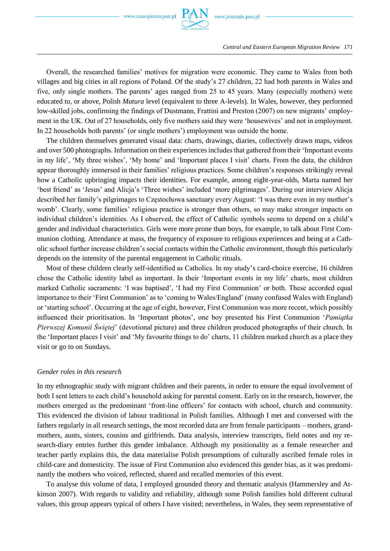

Overall, the researched families' motives for migration were economic. They came to Wales from both villages and big cities in all regions of Poland. Of the study's 27 children, 22 had both parents in Wales and five, only single mothers. The parents' ages ranged from 25 to 45 years. Many (especially mothers) were educated to, or above, Polish *Matura* level (equivalent to three A-levels). In Wales, however, they performed low-skilled jobs, confirming the findings of Dustmann, Frattini and Preston (2007) on new migrants' employment in the UK. Out of 27 households, only five mothers said they were 'housewives' and not in employment. In 22 households both parents' (or single mothers') employment was outside the home.

The children themselves generated visual data: charts, drawings, diaries, collectively drawn maps, videos and over 500 photographs. Information on their experiences includes that gathered from their 'Important events in my life', 'My three wishes', 'My home' and 'Important places I visit' charts. From the data, the children appear thoroughly immersed in their families' religious practices. Some children's responses strikingly reveal how a Catholic upbringing impacts their identities. For example, among eight-year-olds, Marta named her 'best friend' as 'Jesus' and Alicja's 'Three wishes' included 'more pilgrimages'. During our interview Alicja described her family's pilgrimages to Częstochowa sanctuary every August: 'I was there even in my mother's womb'. Clearly, some families' religious practice is stronger than others, so may make stronger impacts on individual children's identities. As I observed, the effect of Catholic symbols seems to depend on a child's gender and individual characteristics. Girls were more prone than boys, for example, to talk about First Communion clothing. Attendance at mass, the frequency of exposure to religious experiences and being at a Catholic school further increase children's social contacts within the Catholic environment, though this particularly depends on the intensity of the parental engagement in Catholic rituals.

Most of these children clearly self-identified as Catholics. In my study's card-choice exercise, 16 children chose the Catholic identity label as important. In their 'Important events in my life' charts, most children marked Catholic sacraments: 'I was baptised', 'I had my First Communion' or both. These accorded equal importance to their 'First Communion' as to 'coming to Wales/England' (many confused Wales with England) or 'starting school'. Occurring at the age of eight, however, First Communion was more recent, which possibly influenced their prioritisation. In 'Important photos', one boy presented his First Communion '*Pamiątka Pierwszej Komunii Świętej*' (devotional picture) and three children produced photographs of their church. In the 'Important places I visit' and 'My favourite things to do' charts, 11 children marked church as a place they visit or go to on Sundays.

### *Gender roles in this research*

In my ethnographic study with migrant children and their parents, in order to ensure the equal involvement of both I sent letters to each child's household asking for parental consent. Early on in the research, however, the mothers emerged as the predominant 'front-line officers' for contacts with school, church and community. This evidenced the division of labour traditional in Polish families. Although I met and conversed with the fathers regularly in all research settings, the most recorded data are from female participants – mothers, grandmothers, aunts, sisters, cousins and girlfriends. Data analysis, interview transcripts, field notes and my research-diary entries further this gender imbalance. Although my positionality as a female researcher and teacher partly explains this, the data materialise Polish presumptions of culturally ascribed female roles in child-care and domesticity. The issue of First Communion also evidenced this gender bias, as it was predominantly the mothers who voiced, reflected, shared and recalled memories of this event.

To analyse this volume of data, I employed grounded theory and thematic analysis (Hammersley and Atkinson 2007). With regards to validity and reliability, although some Polish families hold different cultural values, this group appears typical of others I have visited; nevertheless, in Wales, they seem representative of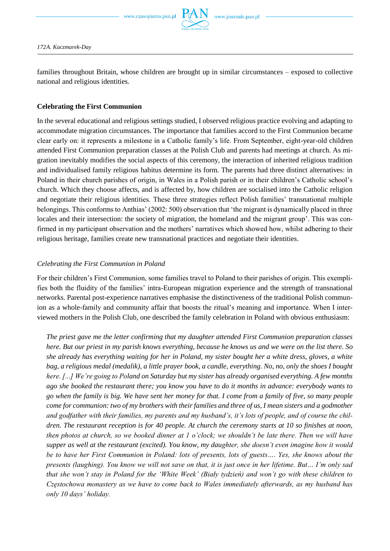

families throughout Britain, whose children are brought up in similar circumstances – exposed to collective national and religious identities.

## **Celebrating the First Communion**

In the several educational and religious settings studied, I observed religious practice evolving and adapting to accommodate migration circumstances. The importance that families accord to the First Communion became clear early on: it represents a milestone in a Catholic family's life. From September, eight-year-old children attended First Communion preparation classes at the Polish Club and parents had meetings at church. As migration inevitably modifies the social aspects of this ceremony, the interaction of inherited religious tradition and individualised family religious habitus determine its form. The parents had three distinct alternatives: in Poland in their church parishes of origin, in Wales in a Polish parish or in their children's Catholic school's church. Which they choose affects, and is affected by, how children are socialised into the Catholic religion and negotiate their religious identities. These three strategies reflect Polish families' transnational multiple belongings. This conforms to Anthias' (2002: 500) observation that 'the migrant is dynamically placed in three locales and their intersection: the society of migration, the homeland and the migrant group'. This was confirmed in my participant observation and the mothers' narratives which showed how, whilst adhering to their religious heritage, families create new transnational practices and negotiate their identities.

# *Celebrating the First Communion in Poland*

For their children's First Communion, some families travel to Poland to their parishes of origin. This exemplifies both the fluidity of the families' intra-European migration experience and the strength of transnational networks. Parental post-experience narratives emphasise the distinctiveness of the traditional Polish communion as a whole-family and community affair that boosts the ritual's meaning and importance. When I interviewed mothers in the Polish Club, one described the family celebration in Poland with obvious enthusiasm:

*The priest gave me the letter confirming that my daughter attended First Communion preparation classes here. But our priest in my parish knows everything, because he knows us and we were on the list there. So she already has everything waiting for her in Poland, my sister bought her a white dress, gloves, a white bag, a religious medal (medalik), a little prayer book, a candle, everything. No, no, only the shoes I bought here. [...] We're going to Poland on Saturday but my sister has already organised everything. A few months ago she booked the restaurant there; you know you have to do it months in advance: everybody wants to go when the family is big. We have sent her money for that. I come from a family of five, so many people come for communion: two of my brothers with their families and three of us, I mean sisters and a godmother and godfather with their families, my parents and my husband's, it's lots of people, and of course the children. The restaurant reception is for 40 people. At church the ceremony starts at 10 so finishes at noon, then photos at church, so we booked dinner at 1 o'clock; we shouldn't be late there. Then we will have supper as well at the restaurant (excited). You know, my daughter, she doesn't even imagine how it would be to have her First Communion in Poland: lots of presents, lots of guests…. Yes, she knows about the presents (laughing). You know we will not save on that, it is just once in her lifetime. But… I'm only sad that she won't stay in Poland for the 'White Week' (Biały tydzień) and won't go with these children to Częstochowa monastery as we have to come back to Wales immediately afterwards, as my husband has only 10 days' holiday.*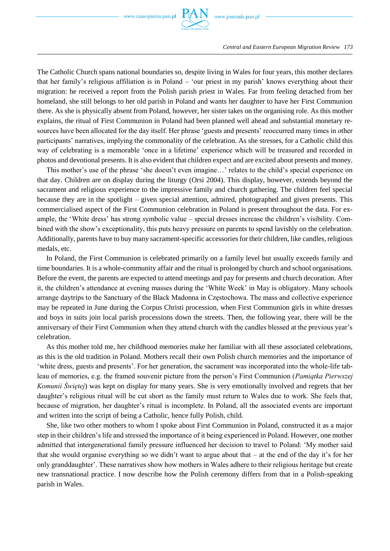

The Catholic Church spans national boundaries so, despite living in Wales for four years, this mother declares that her family's religious affiliation is in Poland – 'our priest in my parish' knows everything about their migration: he received a report from the Polish parish priest in Wales. Far from feeling detached from her homeland, she still belongs to her old parish in Poland and wants her daughter to have her First Communion there. As she is physically absent from Poland, however, her sister takes on the organising role. As this mother explains, the ritual of First Communion in Poland had been planned well ahead and substantial monetary resources have been allocated for the day itself. Her phrase 'guests and presents' reoccurred many times in other participants' narratives, implying the commonality of the celebration. As she stresses, for a Catholic child this way of celebrating is a memorable 'once in a lifetime' experience which will be treasured and recorded in photos and devotional presents. It is also evident that children expect and are excited about presents and money.

This mother's use of the phrase 'she doesn't even imagine…' relates to the child's special experience on that day. Children are on display during the liturgy (Orsi 2004). This display, however, extends beyond the sacrament and religious experience to the impressive family and church gathering. The children feel special because they are in the spotlight – given special attention, admired, photographed and given presents. This commercialised aspect of the First Communion celebration in Poland is present throughout the data. For example, the 'White dress' has strong symbolic value – special dresses increase the children's visibility. Combined with the show's exceptionality, this puts heavy pressure on parents to spend lavishly on the celebration. Additionally, parents have to buy many sacrament-specific accessories for their children, like candles, religious medals, etc.

In Poland, the First Communion is celebrated primarily on a family level but usually exceeds family and time boundaries. It is a whole-community affair and the ritual is prolonged by church and school organisations. Before the event, the parents are expected to attend meetings and pay for presents and church decoration. After it, the children's attendance at evening masses during the 'White Week' in May is obligatory. Many schools arrange daytrips to the Sanctuary of the Black Madonna in Częstochowa. The mass and collective experience may be repeated in June during the Corpus Christi procession, when First Communion girls in white dresses and boys in suits join local parish processions down the streets. Then, the following year, there will be the anniversary of their First Communion when they attend church with the candles blessed at the previous year's celebration.

As this mother told me, her childhood memories make her familiar with all these associated celebrations, as this is the old tradition in Poland. Mothers recall their own Polish church memories and the importance of 'white dress, guests and presents'. For her generation, the sacrament was incorporated into the whole-life tableau of memories, e.g. the framed souvenir picture from the person's First Communion (*Pamiątka Pierwszej Komunii Świętej*) was kept on display for many years. She is very emotionally involved and regrets that her daughter's religious ritual will be cut short as the family must return to Wales due to work. She feels that, because of migration, her daughter's ritual is incomplete. In Poland, all the associated events are important and written into the script of being a Catholic, hence fully Polish, child.

She, like two other mothers to whom I spoke about First Communion in Poland, constructed it as a major step in their children's life and stressed the importance of it being experienced in Poland. However, one mother admitted that intergenerational family pressure influenced her decision to travel to Poland: 'My mother said that she would organise everything so we didn't want to argue about that – at the end of the day it's for her only granddaughter'. These narratives show how mothers in Wales adhere to their religious heritage but create new transnational practice. I now describe how the Polish ceremony differs from that in a Polish-speaking parish in Wales.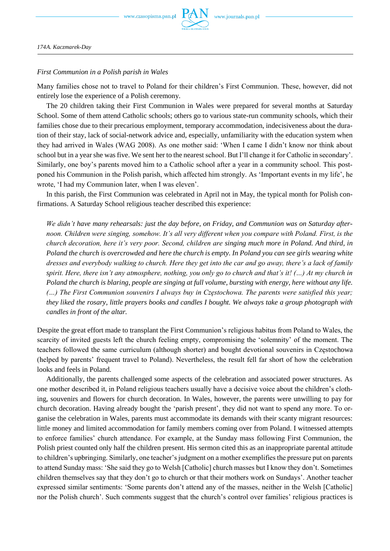

# *First Communion in a Polish parish in Wales*

Many families chose not to travel to Poland for their children's First Communion. These, however, did not entirely lose the experience of a Polish ceremony.

The 20 children taking their First Communion in Wales were prepared for several months at Saturday School. Some of them attend Catholic schools; others go to various state-run community schools, which their families chose due to their precarious employment, temporary accommodation, indecisiveness about the duration of their stay, lack of social-network advice and, especially, unfamiliarity with the education system when they had arrived in Wales (WAG 2008). As one mother said: 'When I came I didn't know nor think about school but in a year she was five. We sent her to the nearest school. But I'll change it for Catholic in secondary'. Similarly, one boy's parents moved him to a Catholic school after a year in a community school. This postponed his Communion in the Polish parish, which affected him strongly. As 'Important events in my life', he wrote, 'I had my Communion later, when I was eleven'.

In this parish, the First Communion was celebrated in April not in May, the typical month for Polish confirmations. A Saturday School religious teacher described this experience:

*We didn't have many rehearsals: just the day before, on Friday, and Communion was on Saturday afternoon. Children were singing, somehow. It's all very different when you compare with Poland. First, is the church decoration, here it's very poor. Second, children are singing much more in Poland. And third, in Poland the church is overcrowded and here the church is empty. In Poland you can see girls wearing white dresses and everybody walking to church. Here they get into the car and go away, there's a lack of family spirit. Here, there isn't any atmosphere, nothing, you only go to church and that's it! (…) At my church in Poland the church is blaring, people are singing at full volume, bursting with energy, here without any life. (…) The First Communion souvenirs I always buy in Częstochowa. The parents were satisfied this year; they liked the rosary, little prayers books and candles I bought. We always take a group photograph with candles in front of the altar.* 

Despite the great effort made to transplant the First Communion's religious habitus from Poland to Wales, the scarcity of invited guests left the church feeling empty, compromising the 'solemnity' of the moment. The teachers followed the same curriculum (although shorter) and bought devotional souvenirs in Częstochowa (helped by parents' frequent travel to Poland). Nevertheless, the result fell far short of how the celebration looks and feels in Poland.

Additionally, the parents challenged some aspects of the celebration and associated power structures. As one mother described it, in Poland religious teachers usually have a decisive voice about the children's clothing, souvenirs and flowers for church decoration. In Wales, however, the parents were unwilling to pay for church decoration. Having already bought the 'parish present', they did not want to spend any more. To organise the celebration in Wales, parents must accommodate its demands with their scanty migrant resources: little money and limited accommodation for family members coming over from Poland. I witnessed attempts to enforce families' church attendance. For example, at the Sunday mass following First Communion, the Polish priest counted only half the children present. His sermon cited this as an inappropriate parental attitude to children's upbringing. Similarly, one teacher's judgment on a mother exemplifies the pressure put on parents to attend Sunday mass: 'She said they go to Welsh [Catholic] church masses but I know they don't. Sometimes children themselves say that they don't go to church or that their mothers work on Sundays'. Another teacher expressed similar sentiments: 'Some parents don't attend any of the masses, neither in the Welsh [Catholic] nor the Polish church'. Such comments suggest that the church's control over families' religious practices is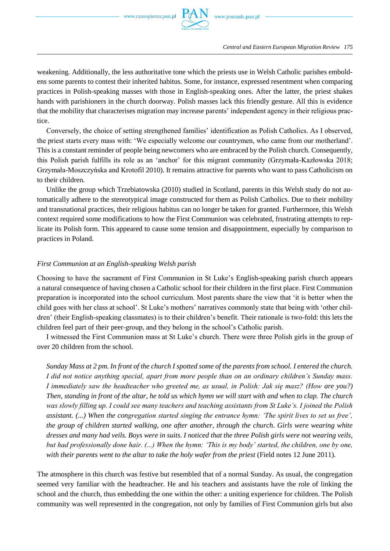

weakening. Additionally, the less authoritative tone which the priests use in Welsh Catholic parishes emboldens some parents to contest their inherited habitus. Some, for instance, expressed resentment when comparing practices in Polish-speaking masses with those in English-speaking ones. After the latter, the priest shakes hands with parishioners in the church doorway. Polish masses lack this friendly gesture. All this is evidence that the mobility that characterises migration may increase parents' independent agency in their religious practice.

Conversely, the choice of setting strengthened families' identification as Polish Catholics. As I observed, the priest starts every mass with: 'We especially welcome our countrymen, who came from our motherland'. This is a constant reminder of people being newcomers who are embraced by the Polish church. Consequently, this Polish parish fulfills its role as an 'anchor' for this migrant community (Grzymała-Kazłowska 2018; Grzymała-Moszczyńska and Krotofil 2010). It remains attractive for parents who want to pass Catholicism on to their children.

Unlike the group which Trzebiatowska (2010) studied in Scotland, parents in this Welsh study do not automatically adhere to the stereotypical image constructed for them as Polish Catholics. Due to their mobility and transnational practices, their religious habitus can no longer be taken for granted. Furthermore, this Welsh context required some modifications to how the First Communion was celebrated, frustrating attempts to replicate its Polish form. This appeared to cause some tension and disappointment, especially by comparison to practices in Poland.

### *First Communion at an English-speaking Welsh parish*

Choosing to have the sacrament of First Communion in St Luke's English-speaking parish church appears a natural consequence of having chosen a Catholic school for their children in the first place. First Communion preparation is incorporated into the school curriculum. Most parents share the view that 'it is better when the child goes with her class at school'. St Luke's mothers' narratives commonly state that being with 'other children' (their English-speaking classmates) is to their children's benefit. Their rationale is two-fold: this lets the children feel part of their peer-group, and they belong in the school's Catholic parish.

I witnessed the First Communion mass at St Luke's church. There were three Polish girls in the group of over 20 children from the school.

*Sunday Mass at 2 pm. In front of the church I spotted some of the parents from school. I entered the church. I did not notice anything special, apart from more people than on an ordinary children's Sunday mass. I immediately saw the headteacher who greeted me, as usual, in Polish: Jak się masz? (How are you?) Then, standing in front of the altar, he told us which hymn we will start with and when to clap. The church was slowly filling up. I could see many teachers and teaching assistants from St Luke's. I joined the Polish assistant. (...) When the congregation started singing the entrance hymn: 'The spirit lives to set us free', the group of children started walking, one after another, through the church. Girls were wearing white dresses and many had veils. Boys were in suits. I noticed that the three Polish girls were not wearing veils, but had professionally done hair. (...) When the hymn: 'This is my body' started, the children, one by one,*  with their parents went to the altar to take the holy wafer from the priest (Field notes 12 June 2011).

The atmosphere in this church was festive but resembled that of a normal Sunday. As usual, the congregation seemed very familiar with the headteacher. He and his teachers and assistants have the role of linking the school and the church, thus embedding the one within the other: a uniting experience for children. The Polish community was well represented in the congregation, not only by families of First Communion girls but also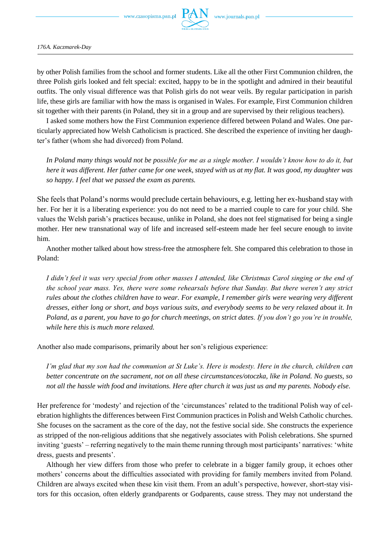

by other Polish families from the school and former students. Like all the other First Communion children, the three Polish girls looked and felt special: excited, happy to be in the spotlight and admired in their beautiful outfits. The only visual difference was that Polish girls do not wear veils. By regular participation in parish life, these girls are familiar with how the mass is organised in Wales. For example, First Communion children sit together with their parents (in Poland, they sit in a group and are supervised by their religious teachers).

I asked some mothers how the First Communion experience differed between Poland and Wales. One particularly appreciated how Welsh Catholicism is practiced. She described the experience of inviting her daughter's father (whom she had divorced) from Poland.

*In Poland many things would not be possible for me as a single mother. I wouldn't know how to do it, but here it was different. Her father came for one week, stayed with us at my flat. It was good, my daughter was so happy. I feel that we passed the exam as parents.* 

She feels that Poland's norms would preclude certain behaviours, e.g. letting her ex-husband stay with her. For her it is a liberating experience: you do not need to be a married couple to care for your child. She values the Welsh parish's practices because, unlike in Poland, she does not feel stigmatised for being a single mother. Her new transnational way of life and increased self-esteem made her feel secure enough to invite him.

Another mother talked about how stress-free the atmosphere felt. She compared this celebration to those in Poland:

*I didn't feel it was very special from other masses I attended, like Christmas Carol singing or the end of the school year mass. Yes, there were some rehearsals before that Sunday. But there weren't any strict rules about the clothes children have to wear. For example, I remember girls were wearing very different dresses, either long or short, and boys various suits, and everybody seems to be very relaxed about it. In Poland, as a parent, you have to go for church meetings, on strict dates. If you don't go you're in trouble, while here this is much more relaxed.*

Another also made comparisons, primarily about her son's religious experience:

*I'm glad that my son had the communion at St Luke's. Here is modesty. Here in the church, children can better concentrate on the sacrament, not on all these circumstances/otoczka, like in Poland. No guests, so not all the hassle with food and invitations. Here after church it was just us and my parents. Nobody else.*

Her preference for 'modesty' and rejection of the 'circumstances' related to the traditional Polish way of celebration highlights the differences between First Communion practices in Polish and Welsh Catholic churches. She focuses on the sacrament as the core of the day, not the festive social side. She constructs the experience as stripped of the non-religious additions that she negatively associates with Polish celebrations. She spurned inviting 'guests' – referring negatively to the main theme running through most participants' narratives: 'white dress, guests and presents'.

Although her view differs from those who prefer to celebrate in a bigger family group, it echoes other mothers' concerns about the difficulties associated with providing for family members invited from Poland. Children are always excited when these kin visit them. From an adult's perspective, however, short-stay visitors for this occasion, often elderly grandparents or Godparents, cause stress. They may not understand the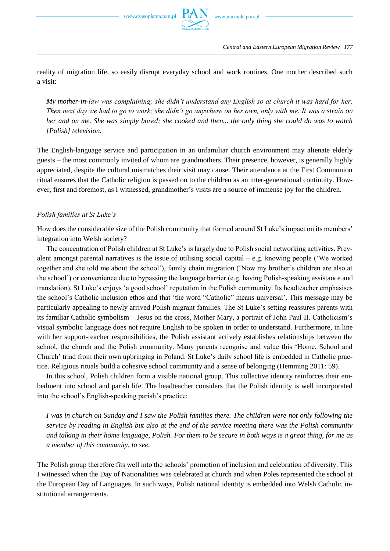reality of migration life, so easily disrupt everyday school and work routines. One mother described such a visit:

*My mother-in-law was complaining; she didn't understand any English so at church it was hard for her. Then next day we had to go to work; she didn't go anywhere on her own, only with me. It was a strain on her and on me. She was simply bored; she cooked and then... the only thing she could do was to watch [Polish] television.*

The English-language service and participation in an unfamiliar church environment may alienate elderly guests – the most commonly invited of whom are grandmothers. Their presence, however, is generally highly appreciated, despite the cultural mismatches their visit may cause. Their attendance at the First Communion ritual ensures that the Catholic religion is passed on to the children as an inter-generational continuity. However, first and foremost, as I witnessed, grandmother's visits are a source of immense joy for the children.

# *Polish families at St Luke's*

How does the considerable size of the Polish community that formed around St Luke's impact on its members' integration into Welsh society?

The concentration of Polish children at St Luke's is largely due to Polish social networking activities. Prevalent amongst parental narratives is the issue of utilising social capital – e.g. knowing people ('We worked together and she told me about the school'), family chain migration ('Now my brother's children are also at the school') or convenience due to bypassing the language barrier (e.g. having Polish-speaking assistance and translation). St Luke's enjoys 'a good school' reputation in the Polish community. Its headteacher emphasises the school's Catholic inclusion ethos and that 'the word "Catholic" means universal'. This message may be particularly appealing to newly arrived Polish migrant families. The St Luke's setting reassures parents with its familiar Catholic symbolism – Jesus on the cross, Mother Mary, a portrait of John Paul II. Catholicism's visual symbolic language does not require English to be spoken in order to understand. Furthermore, in line with her support-teacher responsibilities, the Polish assistant actively establishes relationships between the school, the church and the Polish community. Many parents recognise and value this 'Home, School and Church' triad from their own upbringing in Poland. St Luke's daily school life is embedded in Catholic practice. Religious rituals build a cohesive school community and a sense of belonging (Hemming 2011: 59).

In this school, Polish children form a visible national group. This collective identity reinforces their embedment into school and parish life. The headteacher considers that the Polish identity is well incorporated into the school's English-speaking parish's practice:

*I was in church on Sunday and I saw the Polish families there. The children were not only following the service by reading in English but also at the end of the service meeting there was the Polish community and talking in their home language, Polish. For them to be secure in both ways is a great thing, for me as a member of this community, to see.*

The Polish group therefore fits well into the schools' promotion of inclusion and celebration of diversity. This I witnessed when the Day of Nationalities was celebrated at church and when Poles represented the school at the European Day of Languages. In such ways, Polish national identity is embedded into Welsh Catholic institutional arrangements.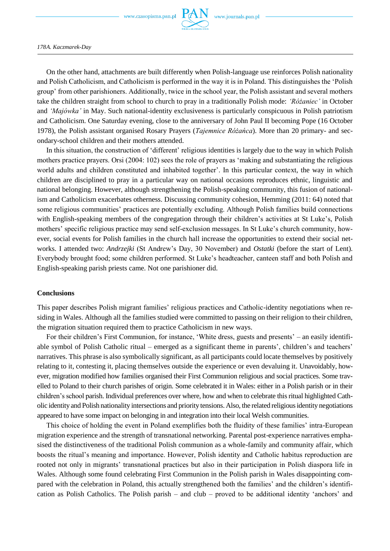

*178A. Kaczmarek-Day*

On the other hand, attachments are built differently when Polish-language use reinforces Polish nationality and Polish Catholicism, and Catholicism is performed in the way it is in Poland. This distinguishes the 'Polish group' from other parishioners. Additionally, twice in the school year, the Polish assistant and several mothers take the children straight from school to church to pray in a traditionally Polish mode: *'Różaniec'* in October and *'Majówka'* in May. Such national-identity exclusiveness is particularly conspicuous in Polish patriotism and Catholicism. One Saturday evening, close to the anniversary of John Paul II becoming Pope (16 October 1978), the Polish assistant organised Rosary Prayers (*Tajemnice Różańca*). More than 20 primary- and secondary-school children and their mothers attended.

In this situation, the construction of 'different' religious identities is largely due to the way in which Polish mothers practice prayers. Orsi (2004: 102) sees the role of prayers as 'making and substantiating the religious world adults and children constituted and inhabited together'. In this particular context, the way in which children are disciplined to pray in a particular way on national occasions reproduces ethnic, linguistic and national belonging. However, although strengthening the Polish-speaking community, this fusion of nationalism and Catholicism exacerbates otherness. Discussing community cohesion, Hemming (2011: 64) noted that some religious communities' practices are potentially excluding. Although Polish families build connections with English-speaking members of the congregation through their children's activities at St Luke's, Polish mothers' specific religious practice may send self-exclusion messages. In St Luke's church community, however, social events for Polish families in the church hall increase the opportunities to extend their social networks. I attended two: *Andrzejki* (St Andrew's Day, 30 November) and *Ostatki* (before the start of Lent). Everybody brought food; some children performed. St Luke's headteacher, canteen staff and both Polish and English-speaking parish priests came. Not one parishioner did.

### **Conclusions**

This paper describes Polish migrant families' religious practices and Catholic-identity negotiations when residing in Wales. Although all the families studied were committed to passing on their religion to their children, the migration situation required them to practice Catholicism in new ways.

For their children's First Communion, for instance, 'White dress, guests and presents' – an easily identifiable symbol of Polish Catholic ritual – emerged as a significant theme in parents', children's and teachers' narratives. This phrase is also symbolically significant, as all participants could locate themselves by positively relating to it, contesting it, placing themselves outside the experience or even devaluing it. Unavoidably, however, migration modified how families organised their First Communion religious and social practices. Some travelled to Poland to their church parishes of origin. Some celebrated it in Wales: either in a Polish parish or in their children's school parish. Individual preferences over where, how and when to celebrate this ritual highlighted Catholic identity and Polish nationality intersections and priority tensions. Also, the related religious identity negotiations appeared to have some impact on belonging in and integration into their local Welsh communities.

This choice of holding the event in Poland exemplifies both the fluidity of these families' intra-European migration experience and the strength of transnational networking. Parental post-experience narratives emphasised the distinctiveness of the traditional Polish communion as a whole-family and community affair, which boosts the ritual's meaning and importance. However, Polish identity and Catholic habitus reproduction are rooted not only in migrants' transnational practices but also in their participation in Polish diaspora life in Wales. Although some found celebrating First Communion in the Polish parish in Wales disappointing compared with the celebration in Poland, this actually strengthened both the families' and the children's identification as Polish Catholics. The Polish parish – and club – proved to be additional identity 'anchors' and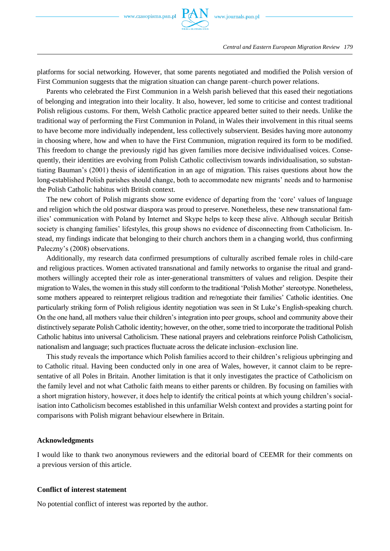

platforms for social networking. However, that some parents negotiated and modified the Polish version of First Communion suggests that the migration situation can change parent–church power relations.

Parents who celebrated the First Communion in a Welsh parish believed that this eased their negotiations of belonging and integration into their locality. It also, however, led some to criticise and contest traditional Polish religious customs. For them, Welsh Catholic practice appeared better suited to their needs. Unlike the traditional way of performing the First Communion in Poland, in Wales their involvement in this ritual seems to have become more individually independent, less collectively subservient. Besides having more autonomy in choosing where, how and when to have the First Communion, migration required its form to be modified. This freedom to change the previously rigid has given families more decisive individualised voices. Consequently, their identities are evolving from Polish Catholic collectivism towards individualisation, so substantiating Bauman's (2001) thesis of identification in an age of migration. This raises questions about how the long-established Polish parishes should change, both to accommodate new migrants' needs and to harmonise the Polish Catholic habitus with British context.

The new cohort of Polish migrants show some evidence of departing from the 'core' values of language and religion which the old postwar diaspora was proud to preserve. Nonetheless, these new transnational families' communication with Poland by Internet and Skype helps to keep these alive. Although secular British society is changing families' lifestyles, this group shows no evidence of disconnecting from Catholicism. Instead, my findings indicate that belonging to their church anchors them in a changing world, thus confirming Paleczny's (2008) observations.

Additionally, my research data confirmed presumptions of culturally ascribed female roles in child-care and religious practices. Women activated transnational and family networks to organise the ritual and grandmothers willingly accepted their role as inter-generational transmitters of values and religion. Despite their migration to Wales, the women in this study still conform to the traditional 'Polish Mother' stereotype. Nonetheless, some mothers appeared to reinterpret religious tradition and re/negotiate their families' Catholic identities. One particularly striking form of Polish religious identity negotiation was seen in St Luke's English-speaking church. On the one hand, all mothers value their children's integration into peer groups, school and community above their distinctively separate Polish Catholic identity; however, on the other, some tried to incorporate the traditional Polish Catholic habitus into universal Catholicism. These national prayers and celebrations reinforce Polish Catholicism, nationalism and language; such practices fluctuate across the delicate inclusion–exclusion line.

This study reveals the importance which Polish families accord to their children's religious upbringing and to Catholic ritual. Having been conducted only in one area of Wales, however, it cannot claim to be representative of all Poles in Britain. Another limitation is that it only investigates the practice of Catholicism on the family level and not what Catholic faith means to either parents or children. By focusing on families with a short migration history, however, it does help to identify the critical points at which young children's socialisation into Catholicism becomes established in this unfamiliar Welsh context and provides a starting point for comparisons with Polish migrant behaviour elsewhere in Britain.

#### **Acknowledgments**

I would like to thank two anonymous reviewers and the editorial board of CEEMR for their comments on a previous version of this article.

# **Conflict of interest statement**

No potential conflict of interest was reported by the author.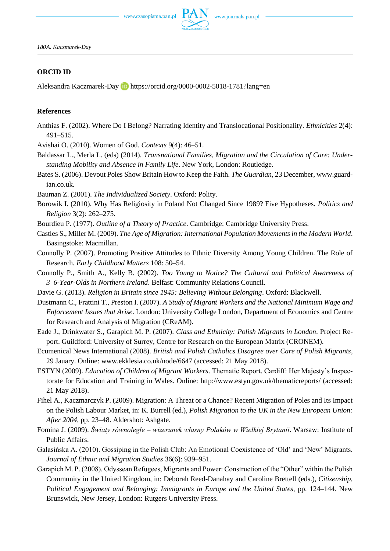## **ORCID ID**

Aleksandra Kaczmarek-Dayhttps://orcid.org/0000-0002-5018-1781?lang=en

# **References**

- Anthias F. (2002). Where Do I Belong? Narrating Identity and Translocational Positionality. *Ethnicities* 2(4): 491–515.
- Avishai O. (2010). Women of God. *Contexts* 9(4): 46–51.
- Baldassar L., Merla L. (eds) (2014). *Transnational Families, Migration and the Circulation of Care: Understanding Mobility and Absence in Family Life*. New York, London: Routledge.
- Bates S. (2006). Devout Poles Show Britain How to Keep the Faith. *The Guardian*, 23 December, www.guardian.co.uk.
- Bauman Z. (2001). *The Individualized Society*. Oxford: Polity.
- Borowik I. (2010). Why Has Religiosity in Poland Not Changed Since 1989? Five Hypotheses. *Politics and Religion* 3(2): 262–275.
- Bourdieu P. (1977). *Outline of a Theory of Practice*. Cambridge: Cambridge University Press.
- Castles S., Miller M. (2009). *The Age of Migration: International Population Movements in the Modern World*. Basingstoke: Macmillan.
- Connolly P. (2007). Promoting Positive Attitudes to Ethnic Diversity Among Young Children. The Role of Research. *Early Childhood Matters* 108: 50–54.
- Connolly P., Smith A., Kelly B. (2002). *Too Young to Notice? The Cultural and Political Awareness of 3–6-Year-Olds in Northern Ireland*. Belfast: Community Relations Council.
- Davie G. (2013). *Religion in Britain since 1945: Believing Without Belonging*. Oxford: Blackwell.
- Dustmann C., Frattini T., Preston I. (2007). *A Study of Migrant Workers and the National Minimum Wage and Enforcement Issues that Arise*. London: University College London, Department of Economics and Centre for Research and Analysis of Migration (CReAM).
- Eade J., Drinkwater S., Garapich M. P. (2007). *Class and Ethnicity: Polish Migrants in London*. Project Report. Guildford: University of Surrey, Centre for Research on the European Matrix (CRONEM).
- Ecumenical News International (2008). *British and Polish Catholics Disagree over Care of Polish Migrants*, 29 Jauary. Online: www.ekklesia.co.uk/node/6647 (accessed: 21 May 2018).
- ESTYN (2009). *Education of Children of Migrant Workers*. Thematic Report. Cardiff: Her Majesty's Inspectorate for Education and Training in Wales. Online: http://www.estyn.gov.uk/thematicreports/ (accessed: 21 May 2018).
- Fihel A., Kaczmarczyk P. (2009). Migration: A Threat or a Chance? Recent Migration of Poles and Its Impact on the Polish Labour Market, in: K. Burrell (ed.), *Polish Migration to the UK in the New European Union: After 2004*, pp. 23–48. Aldershot: Ashgate.
- Fomina J. (2009). *Światy równolegle – wizerunek własny Polaków w Wielkiej Brytanii*. Warsaw: Institute of Public Affairs.
- Galasińska A. (2010). Gossiping in the Polish Club: An Emotional Coexistence of 'Old' and 'New' Migrants. *Journal of Ethnic and Migration Studies* 36(6): 939–951.
- Garapich M. P. (2008). Odyssean Refugees, Migrants and Power: Construction of the "Other" within the Polish Community in the United Kingdom, in: Deborah Reed-Danahay and Caroline Brettell (eds.), *Citizenship, Political Engagement and Belonging: Immigrants in Europe and the United States, pp. 124–144. New* Brunswick, New Jersey, London: Rutgers University Press.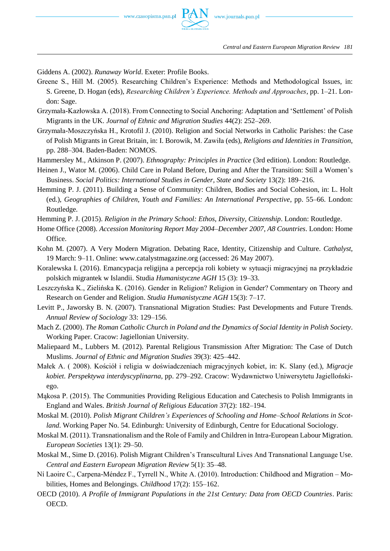

Giddens A. (2002). *Runaway World*. Exeter: Profile Books.

- Greene S., Hill M. (2005). Researching Children's Experience: Methods and Methodological Issues, in: S. Greene, D. Hogan (eds), *Researching Children's Experience. Methods and Approaches*, pp. 1–21. London: Sage.
- Grzymała-Kazłowska A. (2018). From Connecting to Social Anchoring: Adaptation and 'Settlement' of Polish Migrants in the UK. *Journal of Ethnic and Migration Studies* 44(2): 252–269.
- Grzymała-Moszczyńska H., Krotofil J. (2010). Religion and Social Networks in Catholic Parishes: the Case of Polish Migrants in Great Britain, in: I. Borowik, M. Zawiła (eds), *Religions and Identities in Transition*, pp. 288–304. Baden-Baden: NOMOS.
- Hammersley M., Atkinson P. (2007). *Ethnography: Principles in Practice* (3rd edition). London: Routledge.
- Heinen J., Wator M. (2006). Child Care in Poland Before, During and After the Transition: Still a Women's Business. *Social Politics: International Studies in Gender, State and Society* 13(2): 189–216.
- Hemming P. J. (2011). Building a Sense of Community: Children, Bodies and Social Cohesion, in: L. Holt (ed.), *Geographies of Children, Youth and Families: An International Perspective*, pp. 55–66. London: Routledge.
- Hemming P. J. (2015). *Religion in the Primary School: Ethos, Diversity, Citizenship*. London: Routledge.
- Home Office (2008). *Accession Monitoring Report May 2004–December 2007, A8 Countries*. London: Home Office.
- Kohn M. (2007). A Very Modern Migration. Debating Race, Identity, Citizenship and Culture. *Cathalyst*, 19 March: 9–11. Online: www.catalystmagazine.org (accessed: 26 May 2007).
- Koralewska I. (2016). Emancypacja religijna a percepcja roli kobiety w sytuacji migracyjnej na przykładzie polskich migrantek w Islandii. Studia *Humanistyczne AGH* 15 (3): 19–33.
- Leszczyńska K., Zielińska K. (2016). Gender in Religion? Religion in Gender? Commentary on Theory and Research on Gender and Religion. *Studia Humanistyczne AGH* 15(3): 7–17.
- Levitt P., Jaworsky B. N. (2007). Transnational Migration Studies: Past Developments and Future Trends. *Annual Review of Sociology* 33: 129–156.
- Mach Z. (2000). *The Roman Catholic Church in Poland and the Dynamics of Social Identity in Polish Society*. Working Paper. Cracow: Jagiellonian University.
- Maliepaard M., Lubbers M. (2012). Parental Religious Transmission After Migration: The Case of Dutch Muslims. *Journal of Ethnic and Migration Studies* 39(3): 425–442.
- Małek A. ( 2008). Kościół i religia w doświadczeniach migracyjnych kobiet, in: K. Slany (ed.), *Migracje kobiet. Perspektywa interdyscyplinarna*, pp. 279–292. Cracow: Wydawnictwo Uniwersytetu Jagiellońskiego.
- Mąkosa P. (2015). The Communities Providing Religious Education and Catechesis to Polish Immigrants in England and Wales. *British Journal of Religious Education* 37(2): 182–194.
- Moskal M. (2010). *Polish Migrant Children's Experiences of Schooling and Home–School Relations in Scotland*. Working Paper No. 54. Edinburgh: University of Edinburgh, Centre for Educational Sociology.
- Moskal M. (2011). Transnationalism and the Role of Family and Children in Intra-European Labour Migration. *European Societies* 13(1): 29–50.
- Moskal M., Sime D. (2016). Polish Migrant Children's Transcultural Lives And Transnational Language Use. *[Central and Eastern European Migration Review](http://eprints.gla.ac.uk/view/journal_volume/Central_and_Eastern_European_Migration_Review.html)* 5(1): 35–48.
- Ní Laoire C., Carpena-Méndez F., Tyrrell N., White A. (2010). Introduction: Childhood and Migration Mobilities, Homes and Belongings. *Childhood* 17(2): 155–162.
- OECD (2010). *A Profile of Immigrant Populations in the 21st Century: Data from OECD Countries*. Paris: OECD.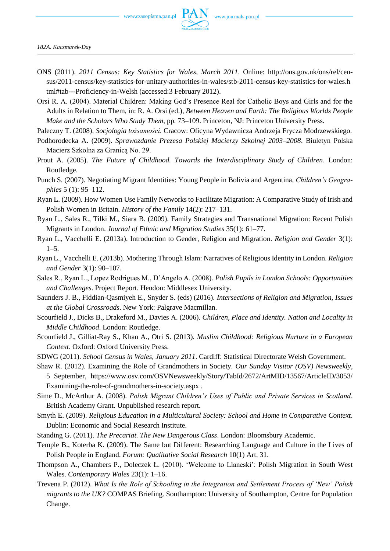

- ONS (2011). *2011 Census: Key Statistics for Wales, March 2011*. Online: http://ons.gov.uk/ons/rel/census/2011-census/key-statistics-for-unitary-authorities-in-wales/stb-2011-census-key-statistics-for-wales.h tml#tab---Proficiency-in-Welsh (accessed:3 February 2012).
- Orsi R. A. (2004). Material Children: Making God's Presence Real for Catholic Boys and Girls and for the Adults in Relation to Them, in: R. A. Orsi (ed.), *Between Heaven and Earth: The Religious Worlds People Make and the Scholars Who Study Them*, pp. 73–109. Princeton, NJ: Princeton University Press.
- Paleczny T. (2008). *Socjologia tożsamości.* Cracow: Oficyna Wydawnicza Andrzeja Frycza Modrzewskiego.
- Podhorodecka A. (2009). *Sprawozdanie Prezesa Polskiej Macierzy Szkolnej 2003–2008*. Biuletyn Polska Macierz Szkolna za Granicą No. 29.
- Prout A. (2005). *The Future of Childhood. Towards the Interdisciplinary Study of Children*. London: Routledge.
- Punch S. (2007). Negotiating Migrant Identities: Young People in Bolivia and Argentina, *Children's Geographies* 5 (1): 95–112.
- Ryan L. (2009). How Women Use Family Networks to Facilitate Migration: A Comparative Study of Irish and Polish Women in Britain. *History of the Family* 14(2): 217–131.
- Ryan L., Sales R., Tilki M., Siara B. (2009). Family Strategies and Transnational Migration: Recent Polish Migrants in London. *Journal of Ethnic and Migration Studies* 35(1): 61–77.
- Ryan L., Vacchelli E. (2013a). Introduction to Gender, Religion and Migration. *Religion and Gender* 3(1):  $1-5.$
- Ryan L., Vacchelli E. (2013b). Mothering Through Islam: Narratives of Religious Identity in London. *Religion and Gender* 3(1): 90–107.
- Sales R., Ryan L., Lopez Rodrigues M., D'Angelo A. (2008). *Polish Pupils in London Schools: Opportunities and Challenges*. Project Report. Hendon: Middlesex University.
- Saunders J. B., Fiddian-Qasmiyeh E., Snyder S. (eds) (2016). *Intersections of Religion and Migration, Issues at the Global Crossroads*. New York: Palgrave Macmillan.
- Scourfield J., Dicks B., Drakeford M., Davies A. (2006). *Children, Place and Identity. Nation and Locality in Middle Childhood*. London: Routledge.
- Scourfield J., Gilliat-Ray S., Khan A., Otri S. (2013). *Muslim Childhood: Religious Nurture in a European Context*. Oxford: Oxford University Press.
- SDWG (2011). *School Census in Wales, January 2011*. Cardiff: Statistical Directorate Welsh Government.
- Shaw R. (2012). Examining the Role of Grandmothers in Society. *Our Sunday Visitor (OSV) Newsweekly*, 5 September, https://www.osv.com/OSVNewsweekly/Story/TabId/2672/ArtMID/13567/ArticleID/3053/ Examining-the-role-of-grandmothers-in-society.aspx .
- Sime D., McArthur A. (2008). *Polish Migrant Children's Uses of Public and Private Services in Scotland*. British Academy Grant. Unpublished research report.
- Smyth E. (2009). *Religious Education in a Multicultural Society: School and Home in Comparative Context*. Dublin: Economic and Social Research Institute.
- Standing G. (2011). *The Precariat. The New Dangerous Class*. London: Bloomsbury Academic.
- Temple B., Koterba K. (2009). The Same but Different: Researching Language and Culture in the Lives of Polish People in England. *Forum: Qualitative Social Research* 10(1) Art. 31.
- Thompson A., Chambers P., Doleczek Ł. (2010). 'Welcome to Llaneski': Polish Migration in South West Wales. *Contemporary Wales* 23(1): 1–16.
- Trevena P. (2012). *What Is the Role of Schooling in the Integration and Settlement Process of 'New' Polish migrants to the UK?* COMPAS Briefing. Southampton: University of Southampton, Centre for Population Change.